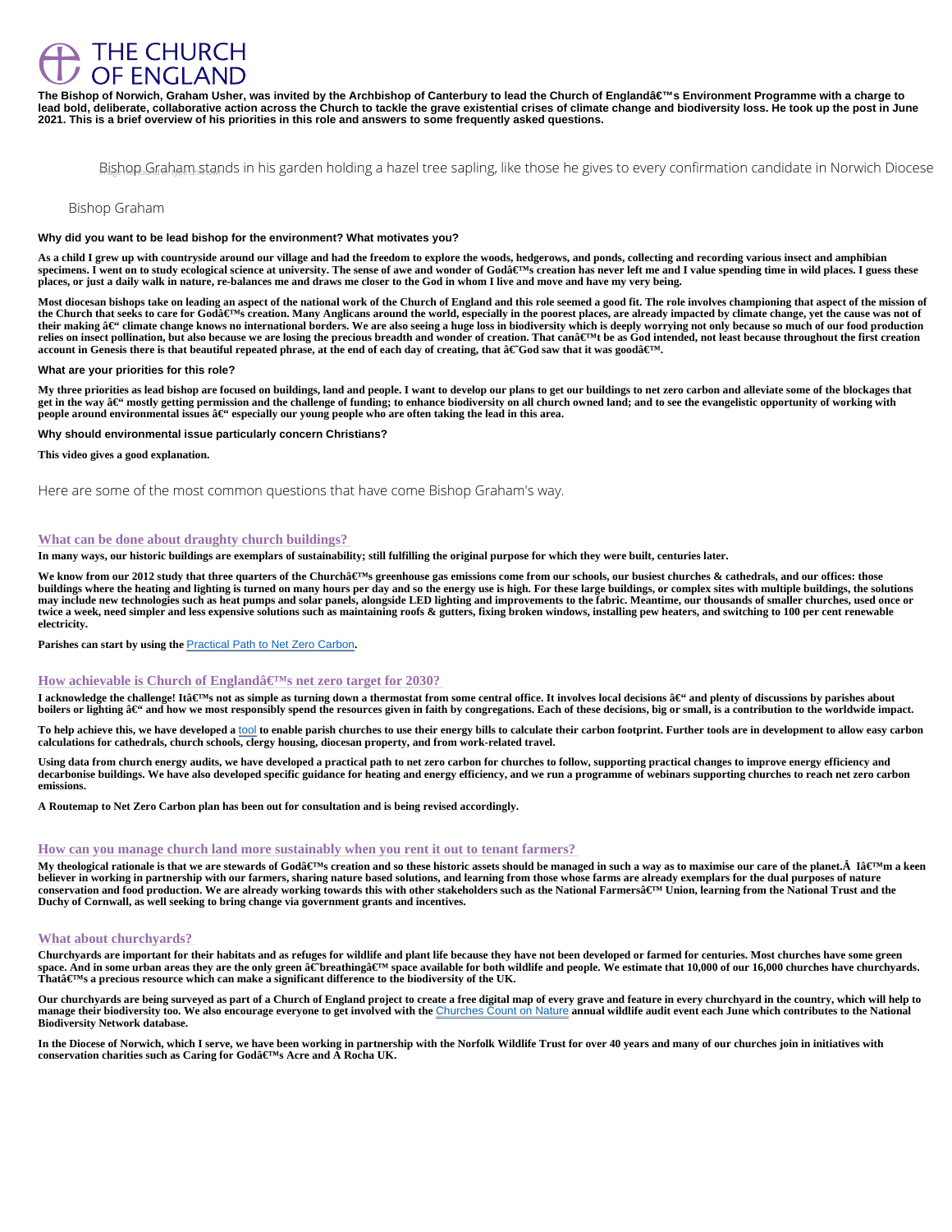# **THE CHURCH** OF ENGLAND

The Bishop of Norwich, Graham Usher, was invited by the Archbishop of Canterbury to lead the Church of England's Environment Programme with a charge to lead bold, deliberate, collaborative action across the Church to tackle the grave existential crises of climate change and biodiversity loss. He took up the post in June 2021. This is a brief overview of his priorities in this role and answers to some frequently asked questions.

# Bishop Graham stands in his garden holding a hazel tree sapling, like those he gives t

# Bishop Graham

Why did you want to be lead bishop for the environment? What motivates you?

As a child I grew up with countryside around our village and had the freedom to explore the woods, hedgerows, and ponds, collecting and recording various insect and amphibian specimens. I went on to study ecological science at university. The sense of awe and wonder of Godâ€<sup>†M</sup>s creation has never left me and I value spending time in wild places. I guess these places, or just a daily walk in nature, re-balances me and draws me closer to the God in whom I live and move and have my very being.

Most diocesan bishops take on leading an aspect of the national work of the Church of England and this role seemed a good fit. The role involves championing that aspect of the missior the Church that seeks to care for Goda€™s creation. Many Anglicans around the world, especially in the poorest places, are already impacted by climate change, yet the cause was not their making – climate change knows no international borders. We are also seeing a huge loss in biodiversity which is deeply worrying not only because so much of our food productio relies on insect pollination, but also because we are losing the precious breadth and wonder of creation. That can't be as God intended, not least because throughout the first creation account in Genesis there is that beautiful repeated phrase, at the end of each day of creating, that †God saw that it was good'.

We know from our 2012 study that three quarters of the Church's greenhouse gas emissions come from our schools, our busiest churches & cathedrals, and our offices: those buildings where the heating and lighting is turned on many hours per day and so the energy use is high. For these large buildings, or complex sites with multiple buildings, the solutions may include new technologies such as heat pumps and solar panels, alongside LED lighting and improvements to the fabric. Meantime, our thousands of smaller churches, used once or twice a week, need simpler and less expensive solutions such as maintaining roofs & gutters, fixing broken windows, installing pew heaters, and switching to 100 per cent renewable electricity.

Parishes can start by using th[e Practical Path to Net Zero Carbon.](https://www.churchofengland.org/resources/churchcare/net-zero-carbon-church/practical-path-net-zero-carbon-churches)

## How achievable is Church of England's net zero target for 2030?

I acknowledge the challenge! It's not as simple as turning down a thermostat from some central office. It involves local decisions – and plenty of discussions by parishes about boilers or lighting – and how we most responsibly spend the resources given in faith by congregations. Each of these decisions, big or small, is a contribution to the worldwide impact.

What are your priorities for this role?

My three priorities as lead bishop are focused on buildings, land and people. I want to develop our plans to get our buildings to net zero carbon and alleviate some of the blockages that get in the way â€" mostly getting permission and the challenge of funding; to enhance biodiversity on all church owned land; and to see the evangelistic opportunity of working with people around environmental issues  $a \in \mathfrak{g}$  especially our young people who are often taking the lead in this area.

To help achieve this, we have developed a to enable parish churches to use their energy bills to calculate their carbon footprint. Further tools are in development to allow easy carbon calculations for cathedrals, church schools, clergy housing, diocesan property, and from work-related travel.

Why should environmental issue particularly concern Christians?

This video gives a good explanation.

# Here are some of the most common questions that have come Bishop Graham's way.

My theological rationale is that we are stewards of Godâ $\epsilon^{\text{TM}}$ s creation and so these historic assets should be managed in such a way as to maximise our care of the planet. Â lâ $\epsilon^{\text{TM}}$ m a believer in working in partnership with our farmers, sharing nature based solutions, and learning from those whose farms are already exemplars for the dual purposes of nature conservation and food production. We are already working towards this with other stakeholders such as the National Farmers a€™ Union, learning from the National Trust and the Duchy of Cornwall, as well seeking to bring change via government grants and incentives.

Churchyards are important for their habitats and as refuges for wildlife and plant life because they have not been developed or farmed for centuries. Most churches have some green space. And in some urban areas they are the only green †breathing' space available for both wildlife and people. We estimate that 10,000 of our 16,000 churches have churchyar That $a \in T^M$ s a precious resource which can make a significant difference to the biodiversity of the UK.

## What can be done about draughty church buildings?

In many ways, our historic buildings are exemplars of sustainability; still fulfilling the original purpose for which they were built, centuries later.

Using data from church energy audits, we have developed a practical path to net zero carbon for churches to follow, supporting practical changes to improve energy efficiency and decarbonise buildings. We have also developed specific guidance for heating and energy efficiency, and we run a programme of webinars supporting churches to reach net zero carbon emissions.

A Routemap to Net Zero Carbon plan has been out for consultation and is being revised accordingly.

#### How can you manage church land more sustainably when you rent it out to tenant farmers?

## What about churchyards?

Our churchyards are being surveyed as part of a Church of England project to create a free digital map of every grave and feature in every churchyard in the country, which will help to manage their biodiversity too. We also encourage everyone to get involved with the United Sount on Nature annual wildlife audit event each June which contributes to the National Biodiversity Network database.

In the Diocese of Norwich, which I serve, we have been working in partnership with the Norfolk Wildlife Trust for over 40 years and many of our churches join in initiatives with conservation charities such as Caring for Godâ $\in$ <sup>TM</sup>s Acre and A Rocha UK.